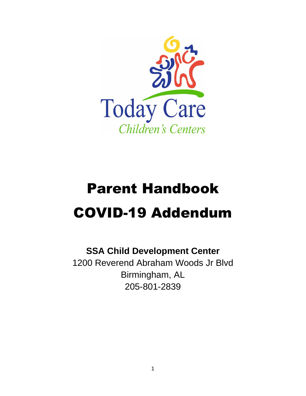

# Parent Handbook COVID-19 Addendum

### **SSA Child Development Center**

1200 Reverend Abraham Woods Jr Blvd Birmingham, AL 205-801-2839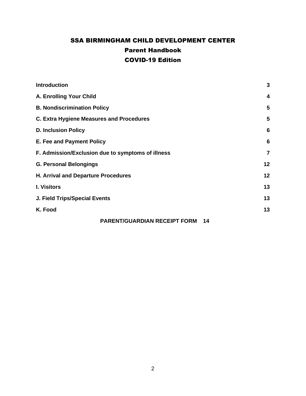### SSA BIRMINGHAM CHILD DEVELOPMENT CENTER Parent Handbook COVID-19 Edition

| <b>Introduction</b>                               | 3              |
|---------------------------------------------------|----------------|
| A. Enrolling Your Child                           | 4              |
| <b>B. Nondiscrimination Policy</b>                | 5              |
| C. Extra Hygiene Measures and Procedures          | 5              |
| <b>D. Inclusion Policy</b>                        | 6              |
| E. Fee and Payment Policy                         | 6              |
| F. Admission/Exclusion due to symptoms of illness | $\overline{7}$ |
| <b>G. Personal Belongings</b>                     | 12             |
| H. Arrival and Departure Procedures               | 12             |
| <b>I. Visitors</b>                                | 13             |
| J. Field Trips/Special Events                     | 13             |
| K. Food                                           | 13             |
| <b>PARENT/GUARDIAN RECEIPT FORM</b><br>14         |                |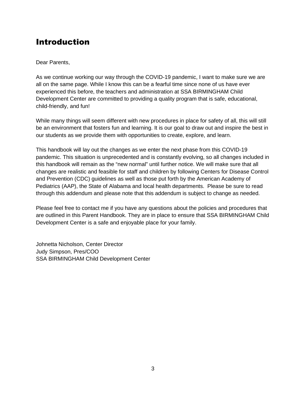### Introduction

#### Dear Parents,

As we continue working our way through the COVID-19 pandemic, I want to make sure we are all on the same page. While I know this can be a fearful time since none of us have ever experienced this before, the teachers and administration at SSA BIRMINGHAM Child Development Center are committed to providing a quality program that is safe, educational, child-friendly, and fun!

While many things will seem different with new procedures in place for safety of all, this will still be an environment that fosters fun and learning. It is our goal to draw out and inspire the best in our students as we provide them with opportunities to create, explore, and learn.

This handbook will lay out the changes as we enter the next phase from this COVID-19 pandemic. This situation is unprecedented and is constantly evolving, so all changes included in this handbook will remain as the "new normal" until further notice. We will make sure that all changes are realistic and feasible for staff and children by following Centers for Disease Control and Prevention (CDC) guidelines as well as those put forth by the American Academy of Pediatrics (AAP), the State of Alabama and local health departments. Please be sure to read through this addendum and please note that this addendum is subject to change as needed.

Please feel free to contact me if you have any questions about the policies and procedures that are outlined in this Parent Handbook. They are in place to ensure that SSA BIRMINGHAM Child Development Center is a safe and enjoyable place for your family.

Johnetta Nicholson, Center Director Judy Simpson, Pres/COO SSA BIRMINGHAM Child Development Center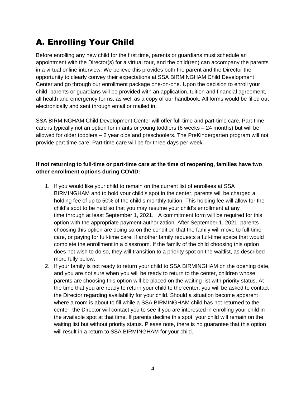### A. Enrolling Your Child

Before enrolling any new child for the first time, parents or guardians must schedule an appointment with the Director(s) for a virtual tour, and the child(ren) can accompany the parents in a virtual online interview. We believe this provides both the parent and the Director the opportunity to clearly convey their expectations at SSA BIRMINGHAM Child Development Center and go through our enrollment package one-on-one. Upon the decision to enroll your child, parents or guardians will be provided with an application, tuition and financial agreement, all health and emergency forms, as well as a copy of our handbook. All forms would be filled out electronically and sent through email or mailed in.

SSA BIRMINGHAM Child Development Center will offer full-time and part-time care. Part-time care is typically not an option for infants or young toddlers (6 weeks – 24 months) but will be allowed for older toddlers – 2 year olds and preschoolers. The PreKindergarten program will not provide part time care. Part-time care will be for three days per week.

#### **If not returning to full-time or part-time care at the time of reopening, families have two other enrollment options during COVID:**

- 1. If you would like your child to remain on the current list of enrollees at SSA BIRMINGHAM and to hold your child's spot in the center, parents will be charged a holding fee of up to 50% of the child's monthly tuition. This holding fee will allow for the child's spot to be held so that you may resume your child's enrollment at any time through at least September 1, 2021. A commitment form will be required for this option with the appropriate payment authorization. After September 1, 2021, parents choosing this option are doing so on the condition that the family will move to full-time care, or paying for full-time care, if another family requests a full-time space that would complete the enrollment in a classroom. If the family of the child choosing this option does not wish to do so, they will transition to a priority spot on the waitlist, as described more fully below.
- 2. If your family is not ready to return your child to SSA BIRMINGHAM on the opening date, and you are not sure when you will be ready to return to the center, children whose parents are choosing this option will be placed on the waiting list with priority status. At the time that you are ready to return your child to the center, you will be asked to contact the Director regarding availability for your child. Should a situation become apparent where a room is about to fill while a SSA BIRMINGHAM child has not returned to the center, the Director will contact you to see if you are interested in enrolling your child in the available spot at that time. If parents decline this spot, your child will remain on the waiting list but without priority status. Please note, there is no guarantee that this option will result in a return to SSA BIRMINGHAM for your child.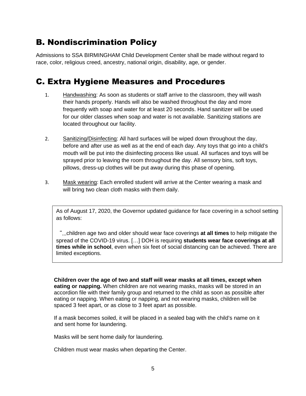### B. Nondiscrimination Policy

Admissions to SSA BIRMINGHAM Child Development Center shall be made without regard to race, color, religious creed, ancestry, national origin, disability, age, or gender.

### C. Extra Hygiene Measures and Procedures

- 1. Handwashing: As soon as students or staff arrive to the classroom, they will wash their hands properly. Hands will also be washed throughout the day and more frequently with soap and water for at least 20 seconds. Hand sanitizer will be used for our older classes when soap and water is not available. Sanitizing stations are located throughout our facility.
- 2. Sanitizing/Disinfecting: All hard surfaces will be wiped down throughout the day, before and after use as well as at the end of each day. Any toys that go into a child's mouth will be put into the disinfecting process like usual. All surfaces and toys will be sprayed prior to leaving the room throughout the day. All sensory bins, soft toys, pillows, dress-up clothes will be put away during this phase of opening.
- 3. Mask wearing: Each enrolled student will arrive at the Center wearing a mask and will bring two clean cloth masks with them daily.

As of August 17, 2020, the Governor updated guidance for face covering in a school setting as follows:

"...children age two and older should wear face coverings **at all times** to help mitigate the spread of the COVID-19 virus. […] DOH is requiring **students wear face coverings at all times while in school**, even when six feet of social distancing can be achieved. There are limited exceptions.

**Children over the age of two and staff will wear masks at all times, except when eating or napping.** When children are not wearing masks, masks will be stored in an accordion file with their family group and returned to the child as soon as possible after eating or napping. When eating or napping, and not wearing masks, children will be spaced 3 feet apart, or as close to 3 feet apart as possible.

If a mask becomes soiled, it will be placed in a sealed bag with the child's name on it and sent home for laundering.

Masks will be sent home daily for laundering.

Children must wear masks when departing the Center.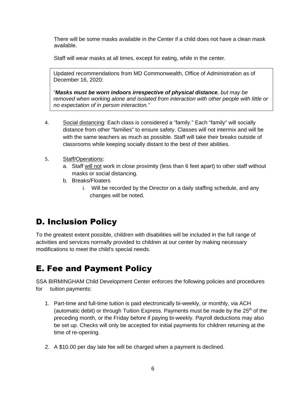There will be some masks available in the Center if a child does not have a clean mask available.

Staff will wear masks at all times, except for eating, while in the center.

Updated recommendations from MD Commonwealth, Office of Administration as of December 16, 2020:

*"Masks must be worn indoors irrespective of physical distance, but may be removed when working alone and isolated from interaction with other people with little or no expectation of in person interaction."*

- 4. Social distancing: Each class is considered a "family." Each "family" will socially distance from other "families" to ensure safety. Classes will not intermix and will be with the same teachers as much as possible. Staff will take their breaks outside of classrooms while keeping socially distant to the best of their abilities.
- 5. Staff/Operations:
	- a. Staff will not work in close proximity (less than 6 feet apart) to other staff without masks or social distancing.
	- b. Breaks/Floaters
		- i. Will be recorded by the Director on a daily staffing schedule, and any changes will be noted.

### D. Inclusion Policy

To the greatest extent possible, children with disabilities will be included in the full range of activities and services normally provided to children at our center by making necessary modifications to meet the child's special needs.

### E. Fee and Payment Policy

SSA BIRMINGHAM Child Development Center enforces the following policies and procedures for tuition payments:

- 1. Part-time and full-time tuition is paid electronically bi-weekly, or monthly, via ACH (automatic debit) or through Tuition Express. Payments must be made by the  $25<sup>th</sup>$  of the preceding month, or the Friday before if paying bi-weekly. Payroll deductions may also be set up. Checks will only be accepted for initial payments for children returning at the time of re-opening.
- 2. A \$10.00 per day late fee will be charged when a payment is declined.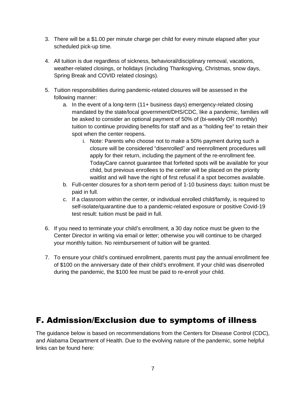- 3. There will be a \$1.00 per minute charge per child for every minute elapsed after your scheduled pick-up time.
- 4. All tuition is due regardless of sickness, behavioral/disciplinary removal, vacations, weather-related closings, or holidays (including Thanksgiving, Christmas, snow days, Spring Break and COVID related closings).
- 5. Tuition responsibilities during pandemic-related closures will be assessed in the following manner:
	- a. In the event of a long-term (11+ business days) emergency-related closing mandated by the state/local government/DHS/CDC, like a pandemic, families will be asked to consider an optional payment of 50% of (bi-weekly OR monthly) tuition to continue providing benefits for staff and as a "holding fee" to retain their spot when the center reopens.
		- i. Note: Parents who choose not to make a 50% payment during such a closure will be considered "disenrolled" and reenrollment procedures will apply for their return, including the payment of the re-enrollment fee. TodayCare cannot guarantee that forfeited spots will be available for your child, but previous enrollees to the center will be placed on the priority waitlist and will have the right of first refusal if a spot becomes available.
	- b. Full-center closures for a short-term period of 1-10 business days: tuition must be paid in full.
	- c. If a classroom within the center, or individual enrolled child/family, is required to self-isolate/quarantine due to a pandemic-related exposure or positive Covid-19 test result: tuition must be paid in full.
- 6. If you need to terminate your child's enrollment, a 30 day notice must be given to the Center Director in writing via email or letter; otherwise you will continue to be charged your monthly tuition. No reimbursement of tuition will be granted.
- 7. To ensure your child's continued enrollment, parents must pay the annual enrollment fee of \$100 on the anniversary date of their child's enrollment. If your child was disenrolled during the pandemic, the \$100 fee must be paid to re-enroll your child.

### F. Admission/Exclusion due to symptoms of illness

The guidance below is based on recommendations from the Centers for Disease Control (CDC), and Alabama Department of Health. Due to the evolving nature of the pandemic, some helpful links can be found here: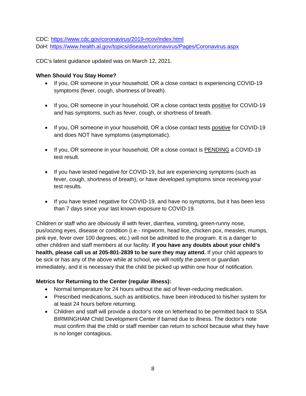CDC: https://www.cdc.gov/coronavirus/2019-ncov/index.html DoH: https://www.health.al.gov/topics/disease/coronavirus/Pages/Coronavirus.aspx

CDC's latest guidance updated was on March 12, 2021.

#### **When Should You Stay Home?**

- If you, OR someone in your household, OR a close contact is experiencing COVID-19 symptoms (fever, cough, shortness of breath).
- If you, OR someone in your household, OR a close contact tests positive for COVID-19 and has symptoms, such as fever, cough, or shortness of breath.
- If you, OR someone in your household, OR a close contact tests positive for COVID-19 and does NOT have symptoms (asymptomatic).
- If you, OR someone in your household, OR a close contact is PENDING a COVID-19 test result.
- If you have tested negative for COVID-19, but are experiencing symptoms (such as fever, cough, shortness of breath), or have developed symptoms since receiving your test results.
- If you have tested negative for COVID-19, and have no symptoms, but it has been less than 7 days since your last known exposure to COVID-19.

Children or staff who are obviously ill with fever, diarrhea, vomiting, green-runny nose, pus/oozing eyes, disease or condition (i.e.- ringworm, head lice, chicken pox, measles, mumps, pink eye, fever over 100 degrees, etc.) will not be admitted to the program. It is a danger to other children and staff members at our facility. **If you have any doubts about your child's health, please call us at 205-801-2839 to be sure they may attend.** If your child appears to be sick or has any of the above while at school, we will notify the parent or guardian immediately, and it is necessary that the child be picked up within one hour of notification.

#### **Metrics for Returning to the Center (regular illness):**

- Normal temperature for 24 hours without the aid of fever-reducing medication.
- Prescribed medications, such as antibiotics, have been introduced to his/her system for at least 24 hours before returning.
- Children and staff will provide a doctor's note on letterhead to be permitted back to SSA BIRMINGHAM Child Development Center if barred due to illness. The doctor's note must confirm that the child or staff member can return to school because what they have is no longer contagious.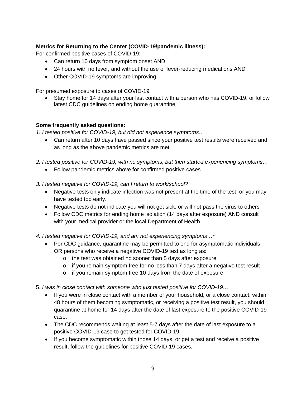#### **Metrics for Returning to the Center (COVID-19/pandemic illness):**

For confirmed positive cases of COVID-19:

- Can return 10 days from symptom onset AND
- 24 hours with no fever, and without the use of fever-reducing medications AND
- Other COVID-19 symptoms are improving

For presumed exposure to cases of COVID-19:

 Stay home for 14 days after your last contact with a person who has COVID-19, or follow latest CDC guidelines on ending home quarantine.

#### **Some frequently asked questions:**

*1. I tested positive for COVID-19, but did not experience symptoms…* 

- Can return after 10 days have passed since your positive test results were received and as long as the above pandemic metrics are met
- *2. I tested positive for COVID-19, with no symptoms, but then started experiencing symptoms…* 
	- Follow pandemic metrics above for confirmed positive cases

*3. I tested negative for COVID-19, can I return to work/school?* 

- Negative tests only indicate infection was not present at the time of the test, or you may have tested too early.
- Negative tests do not indicate you will not get sick, or will not pass the virus to others
- Follow CDC metrics for ending home isolation (14 days after exposure) AND consult with your medical provider or the local Department of Health

*4. I tested negative for COVID-19, and am not experiencing symptoms…\** 

- Per CDC guidance, quarantine may be permitted to end for asymptomatic individuals OR persons who receive a negative COVID-19 test as long as:
	- o the test was obtained no sooner than 5 days after exposure
	- $\circ$  if you remain symptom free for no less than 7 days after a negative test result
	- o if you remain symptom free 10 days from the date of exposure
- 5. *I was in close contact with someone who just tested positive for COVID-19…*
	- If you were in close contact with a member of your household, or a close contact, within 48 hours of them becoming symptomatic, or receiving a positive test result, you should quarantine at home for 14 days after the date of last exposure to the positive COVID-19 case.
	- The CDC recommends waiting at least 5-7 days after the date of last exposure to a positive COVID-19 case to get tested for COVID-19.
	- If you become symptomatic within those 14 days, or get a test and receive a positive result, follow the guidelines for positive COVID-19 cases.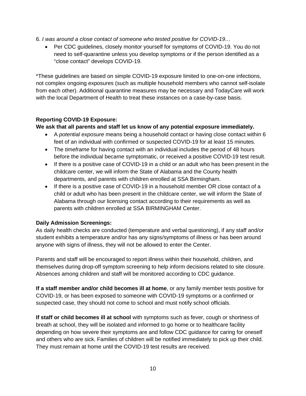- 6. *I was around a close contact of someone who tested positive for COVID-19…*
	- Per CDC guidelines, closely monitor yourself for symptoms of COVID-19. You do not need to self-quarantine unless you develop symptoms or if the person identified as a "close contact" develops COVID-19.

\*These guidelines are based on simple COVID-19 exposure limited to one-on-one infections, not complex ongoing exposures (such as multiple household members who cannot self-isolate from each other). Additional quarantine measures may be necessary and TodayCare will work with the local Department of Health to treat these instances on a case-by-case basis.

#### **Reporting COVID-19 Exposure:**

**We ask that all parents and staff let us know of any potential exposure immediately.**

- A *potential exposure* means being a household contact or having close contact within 6 feet of an individual with confirmed or suspected COVID-19 for at least 15 minutes.
- The *timeframe* for having contact with an individual includes the period of 48 hours before the individual became symptomatic, or received a positive COVID-19 test result.
- If there is a positive case of COVID-19 in a child or an adult who has been present in the childcare center, we will inform the State of Alabama and the County health departments, and parents with children enrolled at SSA Birmingham.
- If there is a positive case of COVID-19 in a household member OR close contact of a child or adult who has been present in the childcare center, we will inform the State of Alabama through our licensing contact according to their requirements as well as parents with children enrolled at SSA BIRMINGHAM Center.

#### **Daily Admission Screenings:**

As daily health checks are conducted (temperature and verbal questioning), if any staff and/or student exhibits a temperature and/or has any signs/symptoms of illness or has been around anyone with signs of illness, they will not be allowed to enter the Center.

Parents and staff will be encouraged to report illness within their household, children, and themselves during drop-off symptom screening to help inform decisions related to site closure. Absences among children and staff will be monitored according to CDC guidance.

**If a staff member and/or child becomes ill at home**, or any family member tests positive for COVID-19, or has been exposed to someone with COVID-19 symptoms or a confirmed or suspected case, they should not come to school and must notify school officials.

**If staff or child becomes ill at school** with symptoms such as fever, cough or shortness of breath at school, they will be isolated and informed to go home or to healthcare facility depending on how severe their symptoms are and follow CDC guidance for caring for oneself and others who are sick. Families of children will be notified immediately to pick up their child. They must remain at home until the COVID-19 test results are received.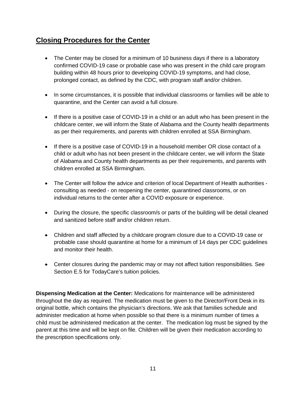#### **Closing Procedures for the Center**

- The Center may be closed for a minimum of 10 business days if there is a laboratory confirmed COVID-19 case or probable case who was present in the child care program building within 48 hours prior to developing COVID-19 symptoms, and had close, prolonged contact, as defined by the CDC, with program staff and/or children.
- In some circumstances, it is possible that individual classrooms or families will be able to quarantine, and the Center can avoid a full closure.
- If there is a positive case of COVID-19 in a child or an adult who has been present in the childcare center, we will inform the State of Alabama and the County health departments as per their requirements, and parents with children enrolled at SSA Birmingham.
- If there is a positive case of COVID-19 in a household member OR close contact of a child or adult who has not been present in the childcare center, we will inform the State of Alabama and County health departments as per their requirements, and parents with children enrolled at SSA Birmingham.
- The Center will follow the advice and criterion of local Department of Health authorities consulting as needed - on reopening the center, quarantined classrooms, or on individual returns to the center after a COVID exposure or experience.
- During the closure, the specific classroom/s or parts of the building will be detail cleaned and sanitized before staff and/or children return.
- Children and staff affected by a childcare program closure due to a COVID-19 case or probable case should quarantine at home for a minimum of 14 days per CDC guidelines and monitor their health.
- Center closures during the pandemic may or may not affect tuition responsibilities. See Section E.5 for TodayCare's tuition policies.

**Dispensing Medication at the Center:** Medications for maintenance will be administered throughout the day as required. The medication must be given to the Director/Front Desk in its original bottle, which contains the physician's directions. We ask that families schedule and administer medication at home when possible so that there is a minimum number of times a child must be administered medication at the center. The medication log must be signed by the parent at this time and will be kept on file. Children will be given their medication according to the prescription specifications only.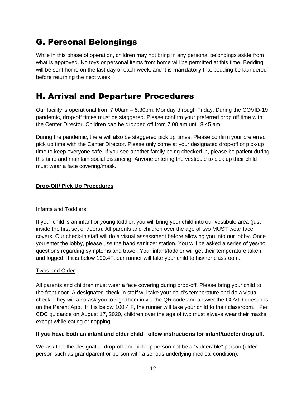### G. Personal Belongings

While in this phase of operation, children may not bring in any personal belongings aside from what is approved. No toys or personal items from home will be permitted at this time. Bedding will be sent home on the last day of each week, and it is **mandatory** that bedding be laundered before returning the next week.

### H. Arrival and Departure Procedures

Our facility is operational from 7:00am – 5:30pm, Monday through Friday. During the COVID-19 pandemic, drop-off times must be staggered. Please confirm your preferred drop off time with the Center Director. Children can be dropped off from 7:00 am until 8:45 am.

During the pandemic, there will also be staggered pick up times. Please confirm your preferred pick up time with the Center Director. Please only come at your designated drop-off or pick-up time to keep everyone safe. If you see another family being checked in, please be patient during this time and maintain social distancing. Anyone entering the vestibule to pick up their child must wear a face covering/mask.

#### **Drop-Off/ Pick Up Procedures**

#### Infants and Toddlers

If your child is an infant or young toddler, you will bring your child into our vestibule area (just inside the first set of doors). All parents and children over the age of two MUST wear face covers. Our check-in staff will do a visual assessment before allowing you into our lobby. Once you enter the lobby, please use the hand sanitizer station. You will be asked a series of yes/no questions regarding symptoms and travel. Your infant/toddler will get their temperature taken and logged. If it is below 100.4F, our runner will take your child to his/her classroom.

#### Twos and Older

All parents and children must wear a face covering during drop-off. Please bring your child to the front door. A designated check-in staff will take your child's temperature and do a visual check. They will also ask you to sign them in via the QR code and answer the COVID questions on the Parent App. If it is below 100.4 F, the runner will take your child to their classroom. Per CDC guidance on August 17, 2020, children over the age of two must always wear their masks except while eating or napping.

#### **If you have both an infant and older child, follow instructions for infant/toddler drop off.**

We ask that the designated drop-off and pick up person not be a "vulnerable" person (older person such as grandparent or person with a serious underlying medical condition).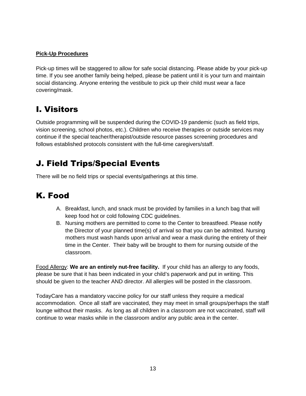#### **Pick-Up Procedures**

Pick-up times will be staggered to allow for safe social distancing. Please abide by your pick-up time. If you see another family being helped, please be patient until it is your turn and maintain social distancing. Anyone entering the vestibule to pick up their child must wear a face covering/mask.

### I. Visitors

Outside programming will be suspended during the COVID-19 pandemic (such as field trips, vision screening, school photos, etc.). Children who receive therapies or outside services may continue if the special teacher/therapist/outside resource passes screening procedures and follows established protocols consistent with the full-time caregivers/staff.

### J. Field Trips/Special Events

There will be no field trips or special events/gatherings at this time.

### K. Food

- A. Breakfast, lunch, and snack must be provided by families in a lunch bag that will keep food hot or cold following CDC guidelines.
- B. Nursing mothers are permitted to come to the Center to breastfeed. Please notify the Director of your planned time(s) of arrival so that you can be admitted. Nursing mothers must wash hands upon arrival and wear a mask during the entirety of their time in the Center. Their baby will be brought to them for nursing outside of the classroom.

Food Allergy: **We are an entirely nut-free facility.** If your child has an allergy to any foods, please be sure that it has been indicated in your child's paperwork and put in writing. This should be given to the teacher AND director. All allergies will be posted in the classroom.

TodayCare has a mandatory vaccine policy for our staff unless they require a medical accommodation. Once all staff are vaccinated, they may meet in small groups/perhaps the staff lounge without their masks. As long as all children in a classroom are not vaccinated, staff will continue to wear masks while in the classroom and/or any public area in the center.